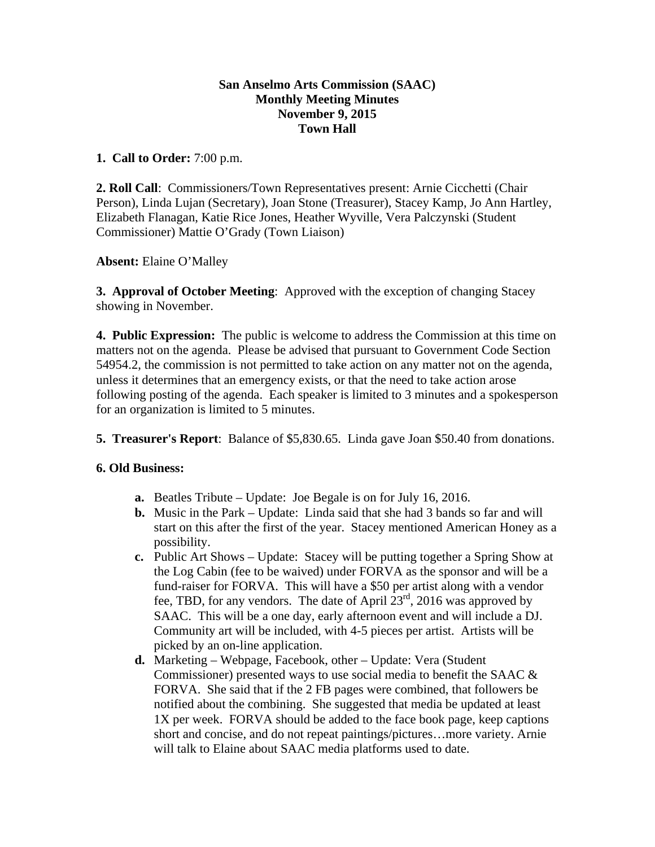## **San Anselmo Arts Commission (SAAC) Monthly Meeting Minutes November 9, 2015 Town Hall**

### **1. Call to Order:** 7:00 p.m.

**2. Roll Call**: Commissioners/Town Representatives present: Arnie Cicchetti (Chair Person), Linda Lujan (Secretary), Joan Stone (Treasurer), Stacey Kamp, Jo Ann Hartley, Elizabeth Flanagan, Katie Rice Jones, Heather Wyville, Vera Palczynski (Student Commissioner) Mattie O'Grady (Town Liaison)

# **Absent:** Elaine O'Malley

**3. Approval of October Meeting**: Approved with the exception of changing Stacey showing in November.

**4. Public Expression:** The public is welcome to address the Commission at this time on matters not on the agenda. Please be advised that pursuant to Government Code Section 54954.2, the commission is not permitted to take action on any matter not on the agenda, unless it determines that an emergency exists, or that the need to take action arose following posting of the agenda. Each speaker is limited to 3 minutes and a spokesperson for an organization is limited to 5 minutes.

**5. Treasurer's Report**: Balance of \$5,830.65. Linda gave Joan \$50.40 from donations.

### **6. Old Business:**

- **a.** Beatles Tribute Update: Joe Begale is on for July 16, 2016.
- **b.** Music in the Park Update: Linda said that she had 3 bands so far and will start on this after the first of the year. Stacey mentioned American Honey as a possibility.
- **c.** Public Art Shows Update: Stacey will be putting together a Spring Show at the Log Cabin (fee to be waived) under FORVA as the sponsor and will be a fund-raiser for FORVA. This will have a \$50 per artist along with a vendor fee, TBD, for any vendors. The date of April  $23<sup>rd</sup>$ , 2016 was approved by SAAC. This will be a one day, early afternoon event and will include a DJ. Community art will be included, with 4-5 pieces per artist. Artists will be picked by an on-line application.
- **d.** Marketing Webpage, Facebook, other Update: Vera (Student Commissioner) presented ways to use social media to benefit the SAAC & FORVA. She said that if the 2 FB pages were combined, that followers be notified about the combining. She suggested that media be updated at least 1X per week. FORVA should be added to the face book page, keep captions short and concise, and do not repeat paintings/pictures…more variety. Arnie will talk to Elaine about SAAC media platforms used to date.